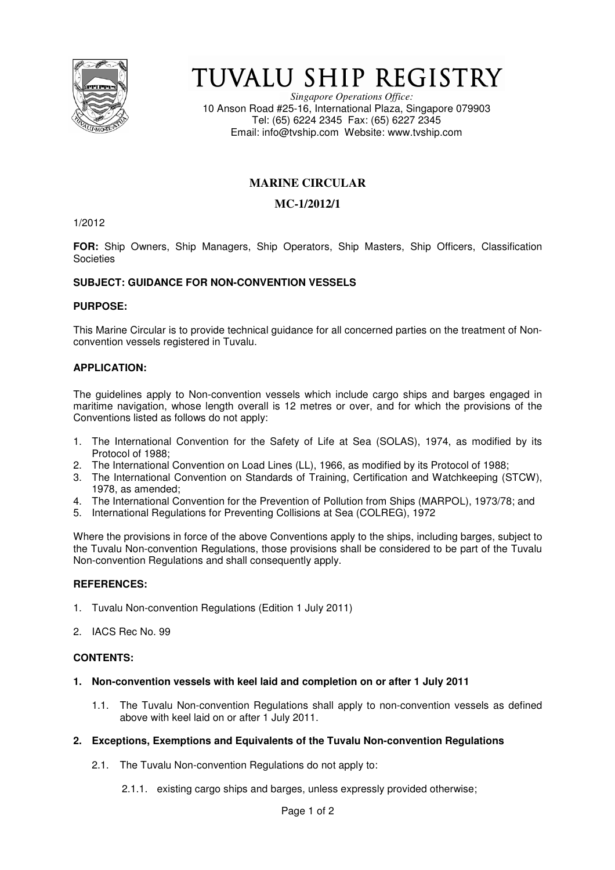

# TUVALU SHIP REGISTRY

*Singapore Operations Office:* 10 Anson Road #25-16, International Plaza, Singapore 079903 Tel: (65) 6224 2345 Fax: (65) 6227 2345 Email: info@tvship.com Website: www.tvship.com

# **MARINE CIRCULAR**

# **MC-1/2012/1**

1/2012

**FOR:** Ship Owners, Ship Managers, Ship Operators, Ship Masters, Ship Officers, Classification **Societies** 

# **SUBJECT: GUIDANCE FOR NON-CONVENTION VESSELS**

## **PURPOSE:**

This Marine Circular is to provide technical guidance for all concerned parties on the treatment of Nonconvention vessels registered in Tuvalu.

# **APPLICATION:**

The guidelines apply to Non-convention vessels which include cargo ships and barges engaged in maritime navigation, whose length overall is 12 metres or over, and for which the provisions of the Conventions listed as follows do not apply:

- 1. The International Convention for the Safety of Life at Sea (SOLAS), 1974, as modified by its Protocol of 1988;
- 2. The International Convention on Load Lines (LL), 1966, as modified by its Protocol of 1988;
- 3. The International Convention on Standards of Training, Certification and Watchkeeping (STCW), 1978, as amended;
- 4. The International Convention for the Prevention of Pollution from Ships (MARPOL), 1973/78; and
- 5. International Regulations for Preventing Collisions at Sea (COLREG), 1972

Where the provisions in force of the above Conventions apply to the ships, including barges, subject to the Tuvalu Non-convention Regulations, those provisions shall be considered to be part of the Tuvalu Non-convention Regulations and shall consequently apply.

## **REFERENCES:**

- 1. Tuvalu Non-convention Regulations (Edition 1 July 2011)
- 2. IACS Rec No. 99

## **CONTENTS:**

- **1. Non-convention vessels with keel laid and completion on or after 1 July 2011** 
	- 1.1. The Tuvalu Non-convention Regulations shall apply to non-convention vessels as defined above with keel laid on or after 1 July 2011.
- **2. Exceptions, Exemptions and Equivalents of the Tuvalu Non-convention Regulations** 
	- 2.1. The Tuvalu Non-convention Regulations do not apply to:
		- 2.1.1. existing cargo ships and barges, unless expressly provided otherwise;